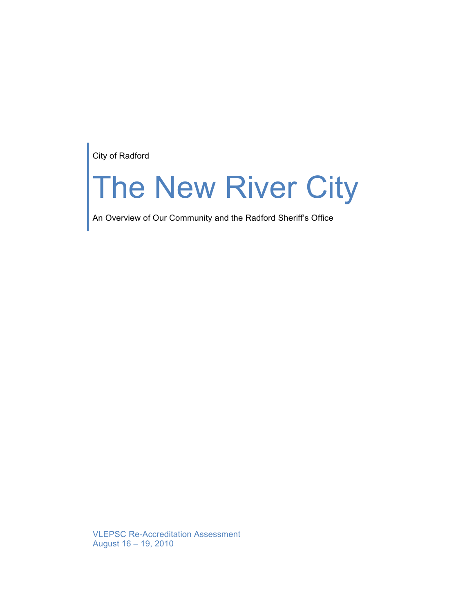City of Radford

# The New River City

An Overview of Our Community and the Radford Sheriff's Office

VLEPSC Re-Accreditation Assessment August 16 – 19, 2010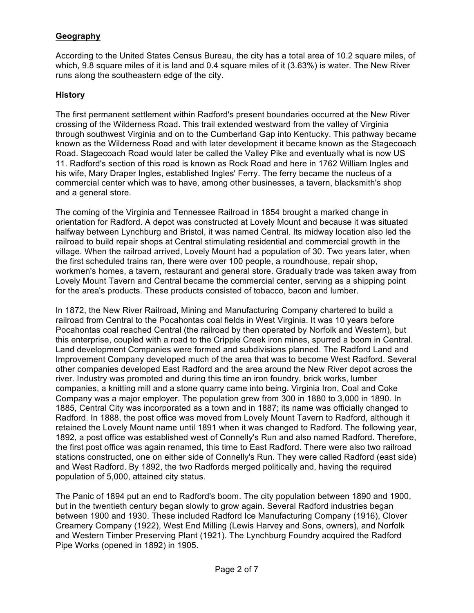# **Geography**

According to the United States Census Bureau, the city has a total area of 10.2 square miles, of which, 9.8 square miles of it is land and 0.4 square miles of it (3.63%) is water. The New River runs along the southeastern edge of the city.

### **History**

The first permanent settlement within Radford's present boundaries occurred at the New River crossing of the Wilderness Road. This trail extended westward from the valley of Virginia through southwest Virginia and on to the Cumberland Gap into Kentucky. This pathway became known as the Wilderness Road and with later development it became known as the Stagecoach Road. Stagecoach Road would later be called the Valley Pike and eventually what is now US 11. Radford's section of this road is known as Rock Road and here in 1762 William Ingles and his wife, Mary Draper Ingles, established Ingles' Ferry. The ferry became the nucleus of a commercial center which was to have, among other businesses, a tavern, blacksmith's shop and a general store.

The coming of the Virginia and Tennessee Railroad in 1854 brought a marked change in orientation for Radford. A depot was constructed at Lovely Mount and because it was situated halfway between Lynchburg and Bristol, it was named Central. Its midway location also led the railroad to build repair shops at Central stimulating residential and commercial growth in the village. When the railroad arrived, Lovely Mount had a population of 30. Two years later, when the first scheduled trains ran, there were over 100 people, a roundhouse, repair shop, workmen's homes, a tavern, restaurant and general store. Gradually trade was taken away from Lovely Mount Tavern and Central became the commercial center, serving as a shipping point for the area's products. These products consisted of tobacco, bacon and lumber.

In 1872, the New River Railroad, Mining and Manufacturing Company chartered to build a railroad from Central to the Pocahontas coal fields in West Virginia. It was 10 years before Pocahontas coal reached Central (the railroad by then operated by Norfolk and Western), but this enterprise, coupled with a road to the Cripple Creek iron mines, spurred a boom in Central. Land development Companies were formed and subdivisions planned. The Radford Land and Improvement Company developed much of the area that was to become West Radford. Several other companies developed East Radford and the area around the New River depot across the river. Industry was promoted and during this time an iron foundry, brick works, lumber companies, a knitting mill and a stone quarry came into being. Virginia Iron, Coal and Coke Company was a major employer. The population grew from 300 in 1880 to 3,000 in 1890. In 1885, Central City was incorporated as a town and in 1887; its name was officially changed to Radford. In 1888, the post office was moved from Lovely Mount Tavern to Radford, although it retained the Lovely Mount name until 1891 when it was changed to Radford. The following year, 1892, a post office was established west of Connelly's Run and also named Radford. Therefore, the first post office was again renamed, this time to East Radford. There were also two railroad stations constructed, one on either side of Connelly's Run. They were called Radford (east side) and West Radford. By 1892, the two Radfords merged politically and, having the required population of 5,000, attained city status.

The Panic of 1894 put an end to Radford's boom. The city population between 1890 and 1900, but in the twentieth century began slowly to grow again. Several Radford industries began between 1900 and 1930. These included Radford Ice Manufacturing Company (1916), Clover Creamery Company (1922), West End Milling (Lewis Harvey and Sons, owners), and Norfolk and Western Timber Preserving Plant (1921). The Lynchburg Foundry acquired the Radford Pipe Works (opened in 1892) in 1905.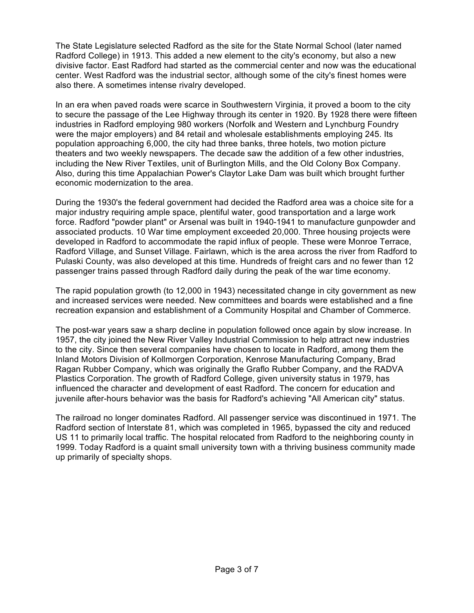The State Legislature selected Radford as the site for the State Normal School (later named Radford College) in 1913. This added a new element to the city's economy, but also a new divisive factor. East Radford had started as the commercial center and now was the educational center. West Radford was the industrial sector, although some of the city's finest homes were also there. A sometimes intense rivalry developed.

In an era when paved roads were scarce in Southwestern Virginia, it proved a boom to the city to secure the passage of the Lee Highway through its center in 1920. By 1928 there were fifteen industries in Radford employing 980 workers (Norfolk and Western and Lynchburg Foundry were the major employers) and 84 retail and wholesale establishments employing 245. Its population approaching 6,000, the city had three banks, three hotels, two motion picture theaters and two weekly newspapers. The decade saw the addition of a few other industries, including the New River Textiles, unit of Burlington Mills, and the Old Colony Box Company. Also, during this time Appalachian Power's Claytor Lake Dam was built which brought further economic modernization to the area.

During the 1930's the federal government had decided the Radford area was a choice site for a major industry requiring ample space, plentiful water, good transportation and a large work force. Radford "powder plant" or Arsenal was built in 1940-1941 to manufacture gunpowder and associated products. 10 War time employment exceeded 20,000. Three housing projects were developed in Radford to accommodate the rapid influx of people. These were Monroe Terrace, Radford Village, and Sunset Village. Fairlawn, which is the area across the river from Radford to Pulaski County, was also developed at this time. Hundreds of freight cars and no fewer than 12 passenger trains passed through Radford daily during the peak of the war time economy.

The rapid population growth (to 12,000 in 1943) necessitated change in city government as new and increased services were needed. New committees and boards were established and a fine recreation expansion and establishment of a Community Hospital and Chamber of Commerce.

The post-war years saw a sharp decline in population followed once again by slow increase. In 1957, the city joined the New River Valley Industrial Commission to help attract new industries to the city. Since then several companies have chosen to locate in Radford, among them the Inland Motors Division of Kollmorgen Corporation, Kenrose Manufacturing Company, Brad Ragan Rubber Company, which was originally the Graflo Rubber Company, and the RADVA Plastics Corporation. The growth of Radford College, given university status in 1979, has influenced the character and development of east Radford. The concern for education and juvenile after-hours behavior was the basis for Radford's achieving "All American city" status.

The railroad no longer dominates Radford. All passenger service was discontinued in 1971. The Radford section of Interstate 81, which was completed in 1965, bypassed the city and reduced US 11 to primarily local traffic. The hospital relocated from Radford to the neighboring county in 1999. Today Radford is a quaint small university town with a thriving business community made up primarily of specialty shops.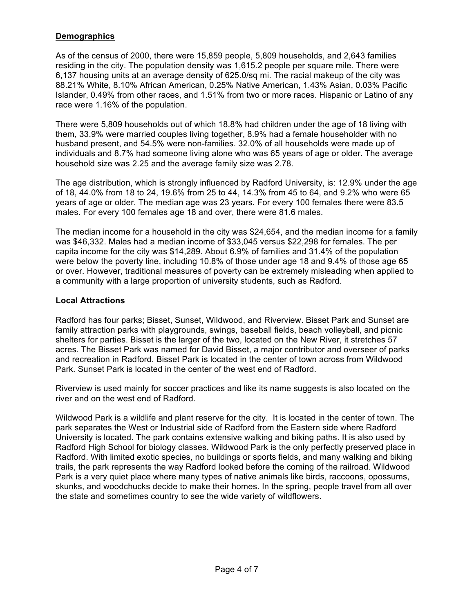## **Demographics**

As of the census of 2000, there were 15,859 people, 5,809 households, and 2,643 families residing in the city. The population density was 1,615.2 people per square mile. There were 6,137 housing units at an average density of 625.0/sq mi. The racial makeup of the city was 88.21% White, 8.10% African American, 0.25% Native American, 1.43% Asian, 0.03% Pacific Islander, 0.49% from other races, and 1.51% from two or more races. Hispanic or Latino of any race were 1.16% of the population.

There were 5,809 households out of which 18.8% had children under the age of 18 living with them, 33.9% were married couples living together, 8.9% had a female householder with no husband present, and 54.5% were non-families. 32.0% of all households were made up of individuals and 8.7% had someone living alone who was 65 years of age or older. The average household size was 2.25 and the average family size was 2.78.

The age distribution, which is strongly influenced by Radford University, is: 12.9% under the age of 18, 44.0% from 18 to 24, 19.6% from 25 to 44, 14.3% from 45 to 64, and 9.2% who were 65 years of age or older. The median age was 23 years. For every 100 females there were 83.5 males. For every 100 females age 18 and over, there were 81.6 males.

The median income for a household in the city was \$24,654, and the median income for a family was \$46,332. Males had a median income of \$33,045 versus \$22,298 for females. The per capita income for the city was \$14,289. About 6.9% of families and 31.4% of the population were below the poverty line, including 10.8% of those under age 18 and 9.4% of those age 65 or over. However, traditional measures of poverty can be extremely misleading when applied to a community with a large proportion of university students, such as Radford.

### **Local Attractions**

Radford has four parks; Bisset, Sunset, Wildwood, and Riverview. Bisset Park and Sunset are family attraction parks with playgrounds, swings, baseball fields, beach volleyball, and picnic shelters for parties. Bisset is the larger of the two, located on the New River, it stretches 57 acres. The Bisset Park was named for David Bisset, a major contributor and overseer of parks and recreation in Radford. Bisset Park is located in the center of town across from Wildwood Park. Sunset Park is located in the center of the west end of Radford.

Riverview is used mainly for soccer practices and like its name suggests is also located on the river and on the west end of Radford.

Wildwood Park is a wildlife and plant reserve for the city. It is located in the center of town. The park separates the West or Industrial side of Radford from the Eastern side where Radford University is located. The park contains extensive walking and biking paths. It is also used by Radford High School for biology classes. Wildwood Park is the only perfectly preserved place in Radford. With limited exotic species, no buildings or sports fields, and many walking and biking trails, the park represents the way Radford looked before the coming of the railroad. Wildwood Park is a very quiet place where many types of native animals like birds, raccoons, opossums, skunks, and woodchucks decide to make their homes. In the spring, people travel from all over the state and sometimes country to see the wide variety of wildflowers.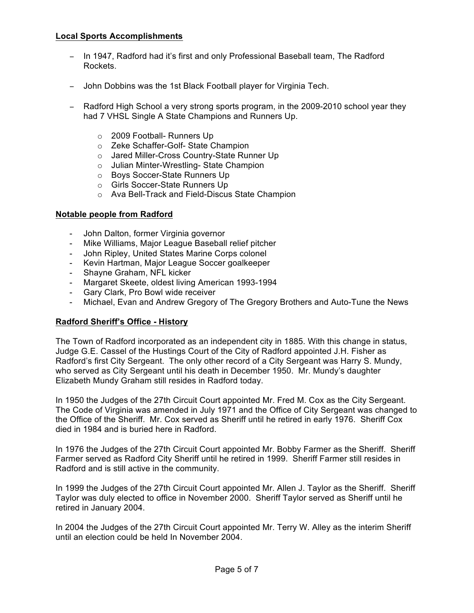### **Local Sports Accomplishments**

- − In 1947, Radford had it's first and only Professional Baseball team, The Radford Rockets.
- − John Dobbins was the 1st Black Football player for Virginia Tech.
- − Radford High School a very strong sports program, in the 2009-2010 school year they had 7 VHSL Single A State Champions and Runners Up.
	- o 2009 Football- Runners Up
	- o Zeke Schaffer-Golf- State Champion
	- o Jared Miller-Cross Country-State Runner Up
	- o Julian Minter-Wrestling- State Champion
	- o Boys Soccer-State Runners Up
	- o Girls Soccer-State Runners Up
	- o Ava Bell-Track and Field-Discus State Champion

### **Notable people from Radford**

- John Dalton, former Virginia governor
- Mike Williams, Major League Baseball relief pitcher
- John Ripley, United States Marine Corps colonel
- Kevin Hartman, Major League Soccer goalkeeper
- Shayne Graham, NFL kicker
- Margaret Skeete, oldest living American 1993-1994
- Gary Clark, Pro Bowl wide receiver
- Michael, Evan and Andrew Gregory of The Gregory Brothers and Auto-Tune the News

# **Radford Sheriff's Office - History**

The Town of Radford incorporated as an independent city in 1885. With this change in status, Judge G.E. Cassel of the Hustings Court of the City of Radford appointed J.H. Fisher as Radford's first City Sergeant. The only other record of a City Sergeant was Harry S. Mundy, who served as City Sergeant until his death in December 1950. Mr. Mundy's daughter Elizabeth Mundy Graham still resides in Radford today.

In 1950 the Judges of the 27th Circuit Court appointed Mr. Fred M. Cox as the City Sergeant. The Code of Virginia was amended in July 1971 and the Office of City Sergeant was changed to the Office of the Sheriff. Mr. Cox served as Sheriff until he retired in early 1976. Sheriff Cox died in 1984 and is buried here in Radford.

In 1976 the Judges of the 27th Circuit Court appointed Mr. Bobby Farmer as the Sheriff. Sheriff Farmer served as Radford City Sheriff until he retired in 1999. Sheriff Farmer still resides in Radford and is still active in the community.

In 1999 the Judges of the 27th Circuit Court appointed Mr. Allen J. Taylor as the Sheriff. Sheriff Taylor was duly elected to office in November 2000. Sheriff Taylor served as Sheriff until he retired in January 2004.

In 2004 the Judges of the 27th Circuit Court appointed Mr. Terry W. Alley as the interim Sheriff until an election could be held In November 2004.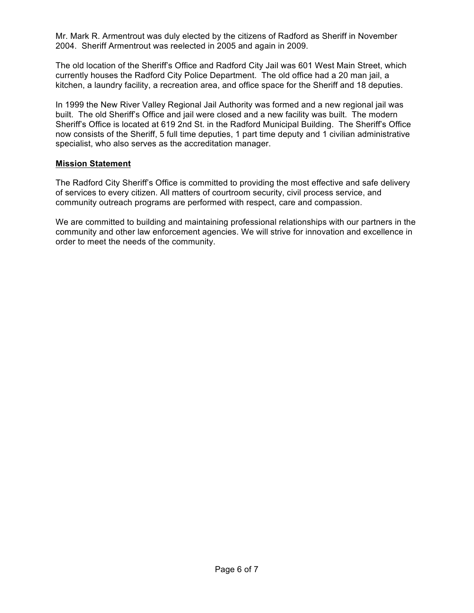Mr. Mark R. Armentrout was duly elected by the citizens of Radford as Sheriff in November 2004. Sheriff Armentrout was reelected in 2005 and again in 2009.

The old location of the Sheriff's Office and Radford City Jail was 601 West Main Street, which currently houses the Radford City Police Department. The old office had a 20 man jail, a kitchen, a laundry facility, a recreation area, and office space for the Sheriff and 18 deputies.

In 1999 the New River Valley Regional Jail Authority was formed and a new regional jail was built. The old Sheriff's Office and jail were closed and a new facility was built. The modern Sheriff's Office is located at 619 2nd St. in the Radford Municipal Building. The Sheriff's Office now consists of the Sheriff, 5 full time deputies, 1 part time deputy and 1 civilian administrative specialist, who also serves as the accreditation manager.

### **Mission Statement**

The Radford City Sheriff's Office is committed to providing the most effective and safe delivery of services to every citizen. All matters of courtroom security, civil process service, and community outreach programs are performed with respect, care and compassion.

We are committed to building and maintaining professional relationships with our partners in the community and other law enforcement agencies. We will strive for innovation and excellence in order to meet the needs of the community.